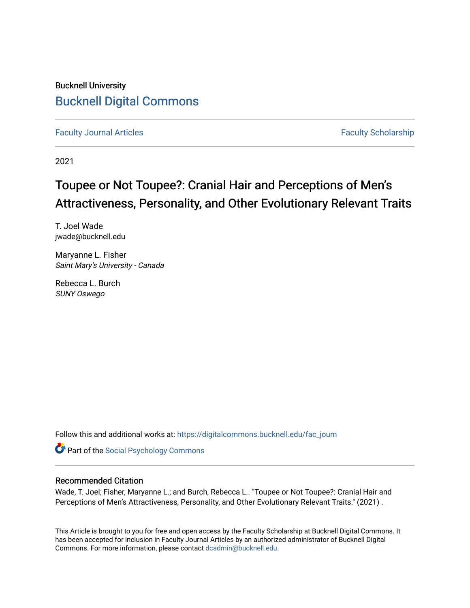# Bucknell University [Bucknell Digital Commons](https://digitalcommons.bucknell.edu/)

[Faculty Journal Articles](https://digitalcommons.bucknell.edu/fac_journ) **Faculty Scholarship** Faculty Scholarship

2021

# Toupee or Not Toupee?: Cranial Hair and Perceptions of Men's Attractiveness, Personality, and Other Evolutionary Relevant Traits

T. Joel Wade jwade@bucknell.edu

Maryanne L. Fisher Saint Mary's University - Canada

Rebecca L. Burch SUNY Oswego

Follow this and additional works at: [https://digitalcommons.bucknell.edu/fac\\_journ](https://digitalcommons.bucknell.edu/fac_journ?utm_source=digitalcommons.bucknell.edu%2Ffac_journ%2F1912&utm_medium=PDF&utm_campaign=PDFCoverPages)

**Part of the Social Psychology Commons** 

# Recommended Citation

Wade, T. Joel; Fisher, Maryanne L.; and Burch, Rebecca L.. "Toupee or Not Toupee?: Cranial Hair and Perceptions of Men's Attractiveness, Personality, and Other Evolutionary Relevant Traits." (2021) .

This Article is brought to you for free and open access by the Faculty Scholarship at Bucknell Digital Commons. It has been accepted for inclusion in Faculty Journal Articles by an authorized administrator of Bucknell Digital Commons. For more information, please contact [dcadmin@bucknell.edu](mailto:dcadmin@bucknell.edu).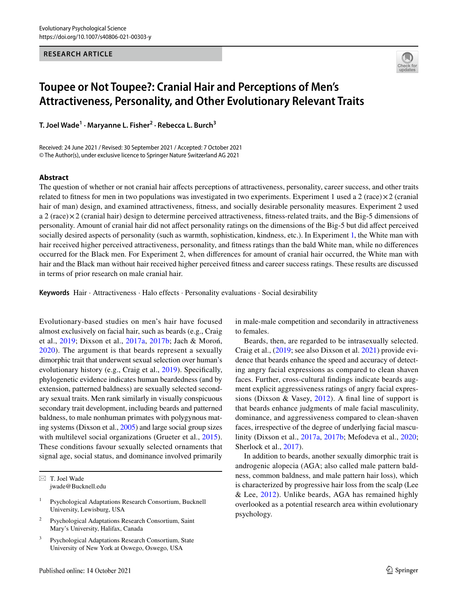#### **RESEARCH ARTICLE**



# **Toupee or Not Toupee?: Cranial Hair and Perceptions of Men's Attractiveness, Personality, and Other Evolutionary Relevant Traits**

**T. Joel Wade<sup>1</sup> · Maryanne L. Fisher2 · Rebecca L. Burch<sup>3</sup>**

Received: 24 June 2021 / Revised: 30 September 2021 / Accepted: 7 October 2021 © The Author(s), under exclusive licence to Springer Nature Switzerland AG 2021

#### **Abstract**

The question of whether or not cranial hair afects perceptions of attractiveness, personality, career success, and other traits related to fitness for men in two populations was investigated in two experiments. Experiment 1 used a 2 (race) $\times$ 2 (cranial hair of man) design, and examined attractiveness, fitness, and socially desirable personality measures. Experiment 2 used a 2 (race) $\times$ 2 (cranial hair) design to determine perceived attractiveness, fitness-related traits, and the Big-5 dimensions of personality. Amount of cranial hair did not afect personality ratings on the dimensions of the Big-5 but did afect perceived socially desired aspects of personality (such as warmth, sophistication, kindness, etc.). In Experiment [1,](#page-4-0) the White man with hair received higher perceived attractiveness, personality, and ftness ratings than the bald White man, while no diferences occurred for the Black men. For Experiment 2, when diferences for amount of cranial hair occurred, the White man with hair and the Black man without hair received higher perceived ftness and career success ratings. These results are discussed in terms of prior research on male cranial hair.

**Keywords** Hair · Attractiveness · Halo effects · Personality evaluations · Social desirability

Evolutionary-based studies on men's hair have focused almost exclusively on facial hair, such as beards (e.g., Craig et al., [2019](#page-10-0); Dixson et al., [2017a,](#page-10-1) [2017b](#page-10-2); Jach & Moroń, [2020\)](#page-10-3). The argument is that beards represent a sexually dimorphic trait that underwent sexual selection over human's evolutionary history (e.g., Craig et al., [2019\)](#page-10-0). Specifcally, phylogenetic evidence indicates human beardedness (and by extension, patterned baldness) are sexually selected secondary sexual traits. Men rank similarly in visually conspicuous secondary trait development, including beards and patterned baldness, to male nonhuman primates with polygynous mating systems (Dixson et al., [2005](#page-10-4)) and large social group sizes with multilevel social organizations (Grueter et al., [2015](#page-10-5)). These conditions favour sexually selected ornaments that signal age, social status, and dominance involved primarily

 $\boxtimes$  T. Joel Wade jwade@Bucknell.edu

- <sup>1</sup> Psychological Adaptations Research Consortium, Bucknell University, Lewisburg, USA
- <sup>2</sup> Psychological Adaptations Research Consortium, Saint Mary's University, Halifax, Canada
- Psychological Adaptations Research Consortium, State University of New York at Oswego, Oswego, USA

in male-male competition and secondarily in attractiveness to females.

Beards, then, are regarded to be intrasexually selected. Craig et al., [\(2019](#page-10-0); see also Dixson et al. [2021](#page-10-6)) provide evidence that beards enhance the speed and accuracy of detecting angry facial expressions as compared to clean shaven faces. Further, cross-cultural fndings indicate beards augment explicit aggressiveness ratings of angry facial expressions (Dixson & Vasey, [2012\)](#page-10-7). A fnal line of support is that beards enhance judgments of male facial masculinity, dominance, and aggressiveness compared to clean-shaven faces, irrespective of the degree of underlying facial masculinity (Dixson et al., [2017a](#page-10-1), [2017b;](#page-10-2) Mefodeva et al., [2020](#page-11-0); Sherlock et al., [2017\)](#page-11-1).

In addition to beards, another sexually dimorphic trait is androgenic alopecia (AGA; also called male pattern baldness, common baldness, and male pattern hair loss), which is characterized by progressive hair loss from the scalp (Lee & Lee, [2012\)](#page-11-2). Unlike beards, AGA has remained highly overlooked as a potential research area within evolutionary psychology.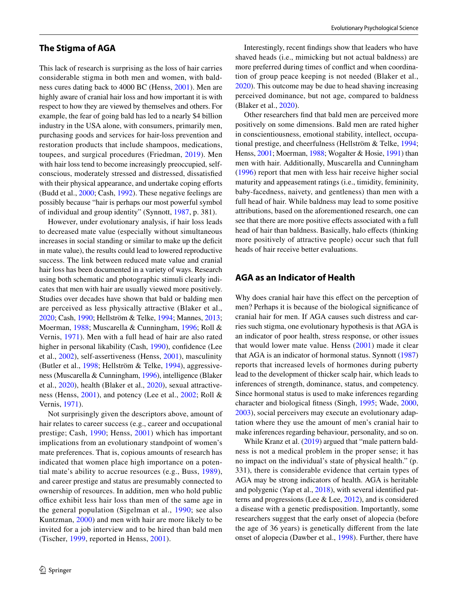## **The Stigma of AGA**

This lack of research is surprising as the loss of hair carries considerable stigma in both men and women, with baldness cures dating back to 4000 BC (Henss, [2001](#page-10-8)). Men are highly aware of cranial hair loss and how important it is with respect to how they are viewed by themselves and others. For example, the fear of going bald has led to a nearly \$4 billion industry in the USA alone, with consumers, primarily men, purchasing goods and services for hair-loss prevention and restoration products that include shampoos, medications, toupees, and surgical procedures (Friedman, [2019](#page-10-9)). Men with hair loss tend to become increasingly preoccupied, selfconscious, moderately stressed and distressed, dissatisfed with their physical appearance, and undertake coping efforts (Budd et al., [2000;](#page-10-10) Cash, [1992\)](#page-10-11). These negative feelings are possibly because "hair is perhaps our most powerful symbol of individual and group identity" (Synnott, [1987](#page-11-3), p. 381).

However, under evolutionary analysis, if hair loss leads to decreased mate value (especially without simultaneous increases in social standing or similar to make up the defcit in mate value), the results could lead to lowered reproductive success. The link between reduced mate value and cranial hair loss has been documented in a variety of ways. Research using both schematic and photographic stimuli clearly indicates that men with hair are usually viewed more positively. Studies over decades have shown that bald or balding men are perceived as less physically attractive (Blaker et al., [2020](#page-9-0); Cash, [1990;](#page-10-12) Hellström & Telke, [1994;](#page-10-13) Mannes, [2013](#page-11-4); Moerman, [1988;](#page-11-5) Muscarella & Cunningham, [1996](#page-11-6); Roll & Vernis, [1971](#page-11-7)). Men with a full head of hair are also rated higher in personal likability (Cash, [1990\)](#page-10-12), confidence (Lee et al., [2002\)](#page-10-14), self-assertiveness (Henss, [2001\)](#page-10-8), masculinity (Butler et al., [1998;](#page-10-15) Hellström & Telke, [1994\)](#page-10-13), aggressiveness (Muscarella & Cunningham, [1996](#page-11-6)), intelligence (Blaker et al., [2020](#page-9-0)), health (Blaker et al., [2020](#page-9-0)), sexual attractiveness (Henss, [2001\)](#page-10-8), and potency (Lee et al., [2002](#page-10-14); Roll & Vernis, [1971\)](#page-11-7).

Not surprisingly given the descriptors above, amount of hair relates to career success (e.g., career and occupational prestige; Cash, [1990;](#page-10-12) Henss, [2001](#page-10-8)) which has important implications from an evolutionary standpoint of women's mate preferences. That is, copious amounts of research has indicated that women place high importance on a potential mate's ability to accrue resources (e.g., Buss, [1989](#page-10-16)), and career prestige and status are presumably connected to ownership of resources. In addition, men who hold public office exhibit less hair loss than men of the same age in the general population (Sigelman et al., [1990](#page-11-8); see also Kuntzman, [2000](#page-10-17)) and men with hair are more likely to be invited for a job interview and to be hired than bald men (Tischer, [1999](#page-11-9), reported in Henss, [2001](#page-10-8)).

Interestingly, recent fndings show that leaders who have shaved heads (i.e., mimicking but not actual baldness) are more preferred during times of confict and when coordination of group peace keeping is not needed (Blaker et al., [2020](#page-9-0)). This outcome may be due to head shaving increasing perceived dominance, but not age, compared to baldness (Blaker et al., [2020](#page-9-0)).

Other researchers fnd that bald men are perceived more positively on some dimensions. Bald men are rated higher in conscientiousness, emotional stability, intellect, occupational prestige, and cheerfulness (Hellström & Telke, [1994](#page-10-13); Henss, [2001](#page-10-8); Moerman, [1988](#page-11-5); Wogalter & Hosie, [1991\)](#page-12-0) than men with hair. Additionally, Muscarella and Cunningham ([1996\)](#page-11-6) report that men with less hair receive higher social maturity and appeasement ratings (i.e., timidity, femininity, baby-facedness, naivety, and gentleness) than men with a full head of hair. While baldness may lead to some positive attributions, based on the aforementioned research, one can see that there are more positive efects associated with a full head of hair than baldness. Basically, halo effects (thinking more positively of attractive people) occur such that full heads of hair receive better evaluations.

# **AGA as an Indicator of Health**

Why does cranial hair have this effect on the perception of men? Perhaps it is because of the biological signifcance of cranial hair for men. If AGA causes such distress and carries such stigma, one evolutionary hypothesis is that AGA is an indicator of poor health, stress response, or other issues that would lower mate value. Henss ([2001](#page-10-8)) made it clear that AGA is an indicator of hormonal status. Synnott ([1987\)](#page-11-3) reports that increased levels of hormones during puberty lead to the development of thicker scalp hair, which leads to inferences of strength, dominance, status, and competency. Since hormonal status is used to make inferences regarding character and biological ftness (Singh, [1995;](#page-11-10) Wade, [2000,](#page-11-11) [2003](#page-11-12)), social perceivers may execute an evolutionary adaptation where they use the amount of men's cranial hair to make inferences regarding behaviour, personality, and so on.

While Kranz et al. [\(2019](#page-10-18)) argued that "male pattern baldness is not a medical problem in the proper sense; it has no impact on the individual's state of physical health." (p. 331), there is considerable evidence that certain types of AGA may be strong indicators of health. AGA is heritable and polygenic (Yap et al., [2018\)](#page-12-1), with several identifed patterns and progressions (Lee & Lee, [2012](#page-11-2)), and is considered a disease with a genetic predisposition. Importantly, some researchers suggest that the early onset of alopecia (before the age of 36 years) is genetically diferent from the late onset of alopecia (Dawber et al., [1998\)](#page-10-19). Further, there have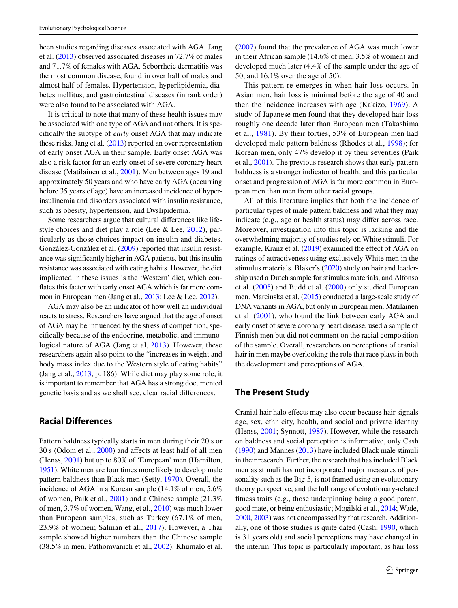been studies regarding diseases associated with AGA. Jang et al. ([2013\)](#page-10-20) observed associated diseases in 72.7% of males and 71.7% of females with AGA. Seborrheic dermatitis was the most common disease, found in over half of males and almost half of females. Hypertension, hyperlipidemia, diabetes mellitus, and gastrointestinal diseases (in rank order) were also found to be associated with AGA.

It is critical to note that many of these health issues may be associated with one type of AGA and not others. It is specifcally the subtype of *early* onset AGA that may indicate these risks. Jang et al. ([2013](#page-10-20)) reported an over representation of early onset AGA in their sample. Early onset AGA was also a risk factor for an early onset of severe coronary heart disease (Matilainen et al., [2001\)](#page-11-13). Men between ages 19 and approximately 50 years and who have early AGA (occurring before 35 years of age) have an increased incidence of hyperinsulinemia and disorders associated with insulin resistance, such as obesity, hypertension, and Dyslipidemia.

Some researchers argue that cultural diferences like lifestyle choices and diet play a role (Lee & Lee, [2012\)](#page-11-2), particularly as those choices impact on insulin and diabetes. González-González et al. ([2009\)](#page-10-21) reported that insulin resistance was signifcantly higher in AGA patients, but this insulin resistance was associated with eating habits. However, the diet implicated in these issues is the 'Western' diet, which confates this factor with early onset AGA which is far more common in European men (Jang et al., [2013;](#page-10-20) Lee & Lee, [2012](#page-11-2)).

AGA may also be an indicator of how well an individual reacts to stress. Researchers have argued that the age of onset of AGA may be infuenced by the stress of competition, specifcally because of the endocrine, metabolic, and immunological nature of AGA (Jang et al, [2013\)](#page-10-20). However, these researchers again also point to the "increases in weight and body mass index due to the Western style of eating habits" (Jang et al., [2013](#page-10-20), p. 186). While diet may play some role, it is important to remember that AGA has a strong documented genetic basis and as we shall see, clear racial diferences.

# **Racial Differences**

Pattern baldness typically starts in men during their 20 s or 30 s (Odom et al., [2000\)](#page-11-14) and afects at least half of all men (Henss, [2001](#page-10-8)) but up to 80% of 'European' men (Hamilton, [1951\)](#page-10-22). White men are four times more likely to develop male pattern baldness than Black men (Setty, [1970](#page-11-15)). Overall, the incidence of AGA in a Korean sample (14.1% of men, 5.6% of women, Paik et al., [2001](#page-11-16)) and a Chinese sample (21.3% of men, 3.7% of women, Wang, et al., [2010](#page-11-17)) was much lower than European samples, such as Turkey (67.1% of men, 23.9% of women; Salman et al., [2017](#page-11-18)). However, a Thai sample showed higher numbers than the Chinese sample (38.5% in men, Pathomvanich et al., [2002\)](#page-11-19). Khumalo et al.

([2007\)](#page-10-23) found that the prevalence of AGA was much lower in their African sample (14.6% of men, 3.5% of women) and developed much later (4.4% of the sample under the age of 50, and 16.1% over the age of 50).

This pattern re-emerges in when hair loss occurs. In Asian men, hair loss is minimal before the age of 40 and then the incidence increases with age (Kakizo, [1969\)](#page-10-24). A study of Japanese men found that they developed hair loss roughly one decade later than European men (Takashima et al., [1981](#page-11-20)). By their forties, 53% of European men had developed male pattern baldness (Rhodes et al., [1998\)](#page-11-21); for Korean men, only 47% develop it by their seventies (Paik et al., [2001](#page-11-16)). The previous research shows that early pattern baldness is a stronger indicator of health, and this particular onset and progression of AGA is far more common in European men than men from other racial groups.

All of this literature implies that both the incidence of particular types of male pattern baldness and what they may indicate (e.g., age or health status) may differ across race. Moreover, investigation into this topic is lacking and the overwhelming majority of studies rely on White stimuli. For example, Kranz et al. [\(2019](#page-10-18)) examined the effect of AGA on ratings of attractiveness using exclusively White men in the stimulus materials. Blaker's ([2020](#page-9-0)) study on hair and leadership used a Dutch sample for stimulus materials, and Alfonso et al. [\(2005](#page-9-1)) and Budd et al. ([2000\)](#page-10-10) only studied European men. Marcinska et al. [\(2015\)](#page-11-22) conducted a large-scale study of DNA variants in AGA, but only in European men. Matilainen et al. ([2001\)](#page-11-13), who found the link between early AGA and early onset of severe coronary heart disease, used a sample of Finnish men but did not comment on the racial composition of the sample. Overall, researchers on perceptions of cranial hair in men maybe overlooking the role that race plays in both the development and perceptions of AGA.

#### **The Present Study**

Cranial hair halo efects may also occur because hair signals age, sex, ethnicity, health, and social and private identity (Henss, [2001](#page-10-8); Synnott, [1987](#page-11-3)). However, while the research on baldness and social perception is informative, only Cash [\(1990](#page-10-12)) and Mannes [\(2013](#page-11-4)) have included Black male stimuli in their research. Further, the research that has included Black men as stimuli has not incorporated major measures of personality such as the Big-5, is not framed using an evolutionary theory perspective, and the full range of evolutionary-related ftness traits (e.g., those underpinning being a good parent, good mate, or being enthusiastic; Mogilski et al., [2014;](#page-11-23) Wade, [2000,](#page-11-11) [2003\)](#page-11-12) was not encompassed by that research. Additionally, one of those studies is quite dated (Cash, [1990,](#page-10-12) which is 31 years old) and social perceptions may have changed in the interim. This topic is particularly important, as hair loss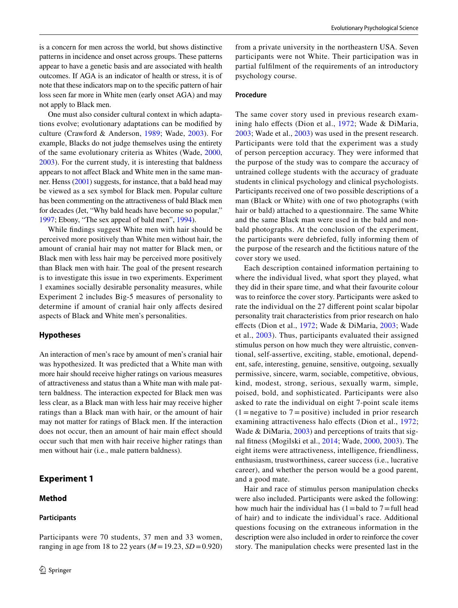is a concern for men across the world, but shows distinctive patterns in incidence and onset across groups. These patterns appear to have a genetic basis and are associated with health outcomes. If AGA is an indicator of health or stress, it is of note that these indicators map on to the specifc pattern of hair loss seen far more in White men (early onset AGA) and may not apply to Black men.

One must also consider cultural context in which adaptations evolve; evolutionary adaptations can be modifed by culture (Crawford & Anderson, [1989](#page-10-25); Wade, [2003](#page-11-12)). For example, Blacks do not judge themselves using the entirety of the same evolutionary criteria as Whites (Wade, [2000,](#page-11-11) [2003](#page-11-12)). For the current study, it is interesting that baldness appears to not afect Black and White men in the same manner. Henss [\(2001\)](#page-10-8) suggests, for instance, that a bald head may be viewed as a sex symbol for Black men. Popular culture has been commenting on the attractiveness of bald Black men for decades (Jet, "Why bald heads have become so popular," [1997](#page-12-2); Ebony, "The sex appeal of bald men", [1994\)](#page-11-24).

While fndings suggest White men with hair should be perceived more positively than White men without hair, the amount of cranial hair may not matter for Black men, or Black men with less hair may be perceived more positively than Black men with hair. The goal of the present research is to investigate this issue in two experiments. Experiment 1 examines socially desirable personality measures, while Experiment 2 includes Big-5 measures of personality to determine if amount of cranial hair only afects desired aspects of Black and White men's personalities.

#### **Hypotheses**

An interaction of men's race by amount of men's cranial hair was hypothesized. It was predicted that a White man with more hair should receive higher ratings on various measures of attractiveness and status than a White man with male pattern baldness. The interaction expected for Black men was less clear, as a Black man with less hair may receive higher ratings than a Black man with hair, or the amount of hair may not matter for ratings of Black men. If the interaction does not occur, then an amount of hair main efect should occur such that men with hair receive higher ratings than men without hair (i.e., male pattern baldness).

Participants were 70 students, 37 men and 33 women, ranging in age from 18 to 22 years (*M*=19.23, *SD*=0.920)

# **Experiment 1**

## **Method**

#### <span id="page-4-0"></span>**Participants**

from a private university in the northeastern USA. Seven participants were not White. Their participation was in partial fulflment of the requirements of an introductory psychology course.

#### **Procedure**

The same cover story used in previous research examining halo efects (Dion et al., [1972;](#page-10-26) Wade & DiMaria, [2003;](#page-11-25) Wade et al., [2003\)](#page-11-26) was used in the present research. Participants were told that the experiment was a study of person perception accuracy. They were informed that the purpose of the study was to compare the accuracy of untrained college students with the accuracy of graduate students in clinical psychology and clinical psychologists. Participants received one of two possible descriptions of a man (Black or White) with one of two photographs (with hair or bald) attached to a questionnaire. The same White and the same Black man were used in the bald and nonbald photographs. At the conclusion of the experiment, the participants were debriefed, fully informing them of the purpose of the research and the fctitious nature of the cover story we used.

Each description contained information pertaining to where the individual lived, what sport they played, what they did in their spare time, and what their favourite colour was to reinforce the cover story. Participants were asked to rate the individual on the 27 diferent point scalar bipolar personality trait characteristics from prior research on halo efects (Dion et al., [1972](#page-10-26); Wade & DiMaria, [2003](#page-11-25); Wade et al., [2003\)](#page-11-26). Thus, participants evaluated their assigned stimulus person on how much they were altruistic, conventional, self-assertive, exciting, stable, emotional, dependent, safe, interesting, genuine, sensitive, outgoing, sexually permissive, sincere, warm, sociable, competitive, obvious, kind, modest, strong, serious, sexually warm, simple, poised, bold, and sophisticated. Participants were also asked to rate the individual on eight 7-point scale items  $(1 =$  negative to  $7 =$  positive) included in prior research examining attractiveness halo effects (Dion et al., [1972](#page-10-26); Wade & DiMaria, [2003\)](#page-11-25) and perceptions of traits that signal ftness (Mogilski et al., [2014;](#page-11-23) Wade, [2000](#page-11-11), [2003\)](#page-11-12). The eight items were attractiveness, intelligence, friendliness, enthusiasm, trustworthiness, career success (i.e., lucrative career), and whether the person would be a good parent, and a good mate.

Hair and race of stimulus person manipulation checks were also included. Participants were asked the following: how much hair the individual has  $(1=$ bald to  $7=$ full head of hair) and to indicate the individual's race. Additional questions focusing on the extraneous information in the description were also included in order to reinforce the cover story. The manipulation checks were presented last in the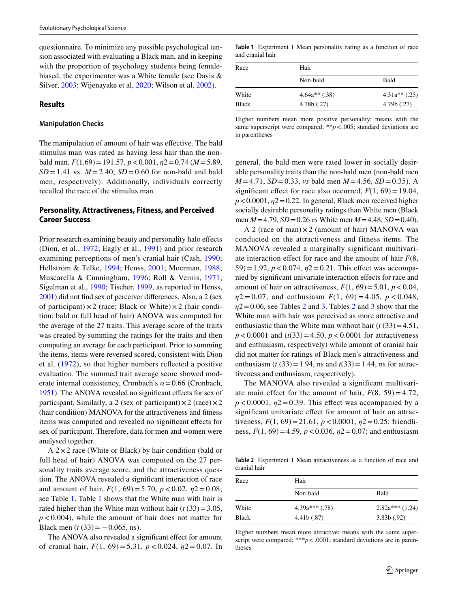questionnaire. To minimize any possible psychological tension associated with evaluating a Black man, and in keeping with the proportion of psychology students being femalebiased, the experimenter was a White female (see Davis & Silver, [2003;](#page-10-27) Wijenayake et al, [2020;](#page-12-3) Wilson et al, [2002\)](#page-12-4).

#### **Results**

#### **Manipulation Checks**

The manipulation of amount of hair was efective. The bald stimulus man was rated as having less hair than the nonbald man, *F*(1,69)=191.57, *p*<0.001, *η*2=0.74 (*M*=5.89,  $SD = 1.41$  vs.  $M = 2.40$ ,  $SD = 0.60$  for non-bald and bald men, respectively). Additionally, individuals correctly recalled the race of the stimulus man.

# **Personality, Attractiveness, Fitness, and Perceived Career Success**

Prior research examining beauty and personality halo effects (Dion, et al., [1972;](#page-10-26) Eagly et al., [1991](#page-10-28)) and prior research examining perceptions of men's cranial hair (Cash, [1990](#page-10-12); Hellström & Telke, [1994;](#page-10-13) Henss, [2001;](#page-10-8) Moerman, [1988](#page-11-5); Muscarella & Cunningham, [1996](#page-11-6); Roll & Vernis, [1971](#page-11-7); Sigelman et al., [1990](#page-11-8); Tischer, [1999](#page-11-9), as reported in Henss, [2001\)](#page-10-8) did not fnd sex of perceiver diferences. Also, a 2 (sex of participant) $\times$ 2 (race; Black or White) $\times$ 2 (hair condition; bald or full head of hair) ANOVA was computed for the average of the 27 traits. This average score of the traits was created by summing the ratings for the traits and then computing an average for each participant. Prior to summing the items, items were reversed scored, consistent with Dion et al. ([1972\)](#page-10-26), so that higher numbers refected a positive evaluation. The summed trait average score showed moderate internal consistency, Cronbach's *α*=0.66 (Cronbach, [1951\)](#page-10-29). The ANOVA revealed no signifcant efects for sex of participant. Similarly, a 2 (sex of participant) $\times$ 2 (race) $\times$ 2 (hair condition) MANOVA for the attractiveness and ftness items was computed and revealed no signifcant efects for sex of participant. Therefore, data for men and women were analysed together.

A  $2 \times 2$  race (White or Black) by hair condition (bald or full head of hair) ANOVA was computed on the 27 personality traits average score, and the attractiveness question. The ANOVA revealed a signifcant interaction of race and amount of hair,  $F(1, 69) = 5.70$ ,  $p < 0.02$ ,  $p<0.08$ ; see Table [1.](#page-5-0) Table [1](#page-5-0) shows that the White man with hair is rated higher than the White man without hair  $(t(33)=3.05$ , *p*<0.004), while the amount of hair does not matter for Black men  $(t (33) = -0.065, \text{ns}).$ 

The ANOVA also revealed a significant effect for amount of cranial hair, *F*(1, 69) = 5.31, *p* < 0.024, *η*2 = 0.07. In

<span id="page-5-0"></span>**Table 1** Experiment 1 Mean personality rating as a function of race and cranial hair

| Race         | Hair            |                 |  |
|--------------|-----------------|-----------------|--|
|              | Non-bald        | Bald            |  |
| White        | $4.64a**$ (.38) | $4.31a**$ (.25) |  |
| <b>Black</b> | 4.78b(.27)      | 4.79b(.27)      |  |

Higher numbers mean more positive personality; means with the same superscript were compared; \*\**p* < 0.005; standard deviations are in parentheses

general, the bald men were rated lower in socially desirable personality traits than the non-bald men (non-bald men  $M = 4.71$ ,  $SD = 0.33$ , *vs* bald men  $M = 4.56$ ,  $SD = 0.35$ ). A significant effect for race also occurred,  $F(1, 69) = 19.04$ ,  $p < 0.0001$ ,  $\eta$ 2=0.22. In general, Black men received higher socially desirable personality ratings than White men (Black men *M*=4.79, *SD*=0.26 *vs* White men *M*=4.48, *SD*=0.40).

A 2 (race of man) $\times$ 2 (amount of hair) MANOVA was conducted on the attractiveness and fitness items. The MANOVA revealed a marginally significant multivariate interaction efect for race and the amount of hair *F*(8,  $(59) = 1.92$ ,  $p < 0.074$ ,  $p<sup>2</sup> = 0.21$ . This effect was accompanied by signifcant univariate interaction efects for race and amount of hair on attractiveness,  $F(1, 69) = 5.01$ ,  $p < 0.04$ , *η*2 = 0.07, and enthusiasm *F*(1, 69) = 4.05, *p* < 0.048,  $η2 = 0.06$  $η2 = 0.06$  $η2 = 0.06$ , see Tables [2](#page-5-1) and [3](#page-6-0). Tables 2 and [3](#page-6-0) show that the White man with hair was perceived as more attractive and enthusiastic than the White man without hair  $(t(33)=4.51)$ , *p*<0.0001 and (*t*(33)=4.50, *p*<0.0001 for attractiveness and enthusiasm, respectively) while amount of cranial hair did not matter for ratings of Black men's attractiveness and enthusiasm (*t* (33) = 1.94, ns and  $t(33) = 1.44$ , ns for attractiveness and enthusiasm, respectively).

The MANOVA also revealed a signifcant multivariate main effect for the amount of hair,  $F(8, 59) = 4.72$ ,  $p < 0.0001$ ,  $p2 = 0.39$ . This effect was accompanied by a significant univariate effect for amount of hair on attractiveness,  $F(1, 69) = 21.61$ ,  $p < 0.0001$ ,  $p $2 = 0.25$ ; friendli$ ness, *F*(1, 69)=4.59, *p*<0.036, *η*2=0.07; and enthusiasm

<span id="page-5-1"></span>**Table 2** Experiment 1 Mean attractiveness as a function of race and cranial hair

| Race         | Hair             |                  |  |
|--------------|------------------|------------------|--|
|              | Non-bald         | Bald             |  |
| White        | $4.39a***$ (.78) | $2.82a***(1.24)$ |  |
| <b>Black</b> | 4.41b(.87)       | 3.83b(.92)       |  |

Higher numbers mean more attractive; means with the same superscript were compared; \*\*\**p* < .0001; standard deviations are in parentheses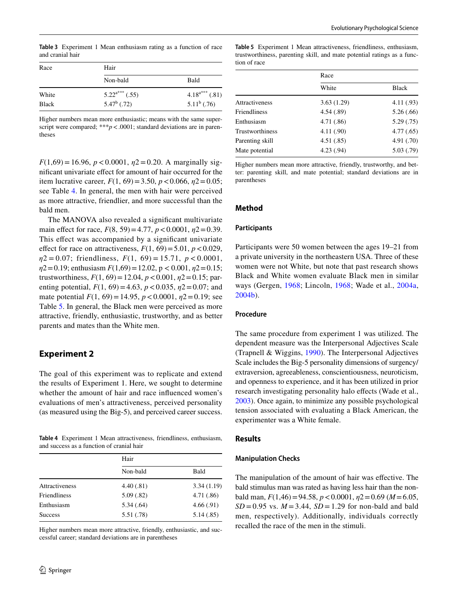<span id="page-6-0"></span>**Table 3** Experiment 1 Mean enthusiasm rating as a function of race and cranial hair

| Race         | Hair                |                     |
|--------------|---------------------|---------------------|
|              | Non-bald            | Bald                |
| White        | $5.22^{a***}$ (.55) | $4.18^{a***}$ (.81) |
| <b>Black</b> | $5.47^b$ (.72)      | $5.11^b$ (.76)      |

Higher numbers mean more enthusiastic; means with the same superscript were compared; \*\*\**p* < 0001; standard deviations are in parentheses

 $F(1,69) = 16.96$ ,  $p < 0.0001$ ,  $p $2 = 0.20$ . A marginally sig$ nifcant univariate efect for amount of hair occurred for the item lucrative career,  $F(1, 69) = 3.50$ ,  $p < 0.066$ ,  $p $2 = 0.05$ ;$ see Table [4](#page-6-1). In general, the men with hair were perceived as more attractive, friendlier, and more successful than the bald men.

The MANOVA also revealed a signifcant multivariate main efect for race, *F*(8, 59)=4.77, *p*<0.0001, *η*2=0.39. This effect was accompanied by a significant univariate effect for race on attractiveness,  $F(1, 69) = 5.01$ ,  $p < 0.029$ , *η*2 = 0.07; friendliness, *F*(1, 69) = 15.71, *p* < 0.0001, *η*2=0.19; enthusiasm *F*(1,69)=12.02, p < 0.001, *η*2=0.15; trustworthiness,  $F(1, 69) = 12.04$ ,  $p < 0.001$ ,  $p $2=0.15$ ; par$ enting potential,  $F(1, 69) = 4.63$ ,  $p < 0.035$ ,  $p $2=0.07$ ; and$ mate potential *F*(1, 69)=14.95, *p*<0.0001, *η*2=0.19; see Table [5](#page-6-2). In general, the Black men were perceived as more attractive, friendly, enthusiastic, trustworthy, and as better parents and mates than the White men.

# **Experiment 2**

The goal of this experiment was to replicate and extend the results of Experiment 1. Here, we sought to determine whether the amount of hair and race infuenced women's evaluations of men's attractiveness, perceived personality (as measured using the Big-5), and perceived career success.

<span id="page-6-1"></span>**Table 4** Experiment 1 Mean attractiveness, friendliness, enthusiasm, and success as a function of cranial hair

|                | Hair       |            |
|----------------|------------|------------|
|                | Non-bald   | Bald       |
| Attractiveness | 4.40(0.81) | 3.34(1.19) |
| Friendliness   | 5.09(.82)  | 4.71(.86)  |
| Enthusiasm     | 5.34(.64)  | 4.66(.91)  |
| <b>Success</b> | 5.51(.78)  | 5.14(.85)  |

Higher numbers mean more attractive, friendly, enthusiastic, and successful career; standard deviations are in parentheses

<span id="page-6-2"></span>**Table 5** Experiment 1 Mean attractiveness, friendliness, enthusiasm, trustworthiness, parenting skill, and mate potential ratings as a function of race

|                 | Race       |              |
|-----------------|------------|--------------|
|                 | White      | <b>Black</b> |
| Attractiveness  | 3.63(1.29) | 4.11 (.93)   |
| Friendliness    | 4.54(.89)  | 5.26(.66)    |
| Enthusiasm      | 4.71(.86)  | 5.29(.75)    |
| Trustworthiness | 4.11(.90)  | 4.77(.65)    |
| Parenting skill | 4.51(.85)  | 4.91(.70)    |
| Mate potential  | 4.23(.94)  | 5.03(.79)    |

Higher numbers mean more attractive, friendly, trustworthy, and better: parenting skill, and mate potential; standard deviations are in parentheses

#### **Method**

#### **Participants**

Participants were 50 women between the ages 19–21 from a private university in the northeastern USA. Three of these women were not White, but note that past research shows Black and White women evaluate Black men in similar ways (Gergen, [1968;](#page-10-30) Lincoln, [1968](#page-11-27); Wade et al., [2004a,](#page-11-28) [2004b\)](#page-11-29).

#### **Procedure**

The same procedure from experiment 1 was utilized. The dependent measure was the Interpersonal Adjectives Scale (Trapnell & Wiggins, [1990](#page-11-30)). The Interpersonal Adjectives Scale includes the Big-5 personality dimensions of surgency/ extraversion, agreeableness, conscientiousness, neuroticism, and openness to experience, and it has been utilized in prior research investigating personality halo effects (Wade et al., [2003](#page-11-26)). Once again, to minimize any possible psychological tension associated with evaluating a Black American, the experimenter was a White female.

#### **Results**

#### **Manipulation Checks**

The manipulation of the amount of hair was efective. The bald stimulus man was rated as having less hair than the nonbald man, *F*(1,46)=94.58, *p*<0.0001, *η*2=0.69 (*M*=6.05,  $SD = 0.95$  vs.  $M = 3.44$ ,  $SD = 1.29$  for non-bald and bald men, respectively). Additionally, individuals correctly recalled the race of the men in the stimuli.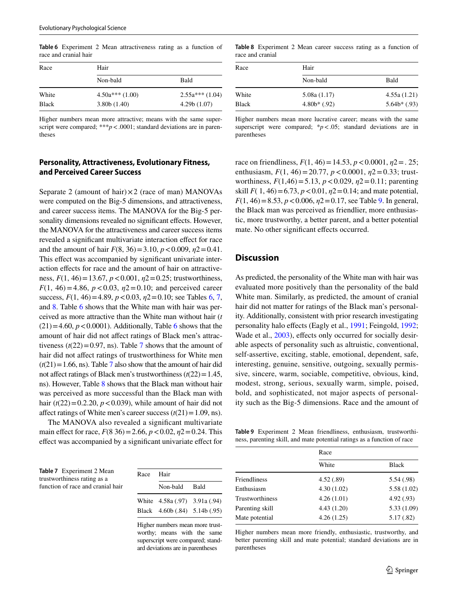Race Hair Non-bald Bald White 4.50a\*\*\* (1.00) 2.55a\*\*\* (1.04) Black 3.80b (1.40) 4.29b (1.07)

<span id="page-7-0"></span>**Table 6** Experiment 2 Mean attractiveness rating as a function of race and cranial hair

Higher numbers mean more attractive; means with the same superscript were compared; \*\*\**p* < 0001; standard deviations are in parentheses

# **Personality, Attractiveness, Evolutionary Fitness, and Perceived Career Success**

Separate 2 (amount of hair) $\times$ 2 (race of man) MANOVAs were computed on the Big-5 dimensions, and attractiveness, and career success items. The MANOVA for the Big-5 personality dimensions revealed no significant effects. However, the MANOVA for the attractiveness and career success items revealed a signifcant multivariate interaction efect for race and the amount of hair  $F(8, 36) = 3.10, p < 0.009, \eta^2 = 0.41$ . This effect was accompanied by significant univariate interaction efects for race and the amount of hair on attractiveness, *F*(1, 46)=13.67, *p*<0.001, *η*2=0.25; trustworthiness, *F*(1, 46) = 4.86,  $p < 0.03$ ,  $p< 0.10$ ; and perceived career success, *F*(1, 46)=4.89, *p*<0.03, *η*2=0.10; see Tables [6,](#page-7-0) [7,](#page-7-1) and [8](#page-7-2). Table [6](#page-7-0) shows that the White man with hair was perceived as more attractive than the White man without hair (*t*  $(21)=4.60, p<0.0001$ ). Additionally, Table [6](#page-7-0) shows that the amount of hair did not afect ratings of Black men's attractiveness  $(t(22)=0.97$ , ns). Table [7](#page-7-1) shows that the amount of hair did not afect ratings of trustworthiness for White men  $(t(21)=1.66$ , ns). Table [7](#page-7-1) also show that the amount of hair did not affect ratings of Black men's trustworthiness  $(t(22)=1.45$ , ns). However, Table [8](#page-7-2) shows that the Black man without hair was perceived as more successful than the Black man with hair  $(t(22)=0.2.20, p<0.039)$ , while amount of hair did not affect ratings of White men's career success  $(t(21)=1.09, \text{ns})$ .

The MANOVA also revealed a signifcant multivariate main efect for race, *F*(8 36)=2.66, *p*<0.02, *η*2=0.24. This efect was accompanied by a signifcant univariate efect for

<span id="page-7-2"></span>**Table 8** Experiment 2 Mean career success rating as a function of race and cranial

| Race  | Hair          |               |
|-------|---------------|---------------|
|       | Non-bald      | Bald          |
| White | 5.08a(1.17)   | 4.55a(1.21)   |
| Black | $4.808$ (.92) | $5.64b*(.93)$ |

Higher numbers mean more lucrative career; means with the same superscript were compared;  $*p < .05$ ; standard deviations are in parentheses

race on friendliness,  $F(1, 46) = 14.53$ ,  $p < 0.0001$ ,  $p2 = 0.25$ ; enthusiasm, *F*(1, 46)=20.77, *p*<0.0001, *η*2=0.33; trustworthiness, *F*(1,46)=5.13, *p*<0.029, *η*2=0.11; parenting skill  $F(1, 46) = 6.73$ ,  $p < 0.01$ ,  $p<sup>2</sup> = 0.14$ ; and mate potential, *F*(1, 46) = 8.53, *p* < 0.006, *η*2 = 0.17, see Table [9](#page-7-3). In general, the Black man was perceived as friendlier, more enthusiastic, more trustworthy, a better parent, and a better potential mate. No other signifcant efects occurred.

#### **Discussion**

As predicted, the personality of the White man with hair was evaluated more positively than the personality of the bald White man. Similarly, as predicted, the amount of cranial hair did not matter for ratings of the Black man's personality. Additionally, consistent with prior research investigating personality halo efects (Eagly et al., [1991](#page-10-28); Feingold, [1992](#page-10-31); Wade et al., [2003\)](#page-11-26), effects only occurred for socially desirable aspects of personality such as altruistic, conventional, self-assertive, exciting, stable, emotional, dependent, safe, interesting, genuine, sensitive, outgoing, sexually permissive, sincere, warm, sociable, competitive, obvious, kind, modest, strong, serious, sexually warm, simple, poised, bold, and sophisticated, not major aspects of personality such as the Big-5 dimensions. Race and the amount of

<span id="page-7-3"></span>**Table 9** Experiment 2 Mean friendliness, enthusiasm, trustworthiness, parenting skill, and mate potential ratings as a function of race

<span id="page-7-1"></span>**Table 7** Experiment 2 Mean trustworthiness rating as a function of race and cranial hair

| Race Hair |                               |  |
|-----------|-------------------------------|--|
|           | Non-bald Bald                 |  |
|           | White 4.58a (.97) 3.91a (.94) |  |
|           | Black 4.60b (.84) 5.14b (.95) |  |

Higher numbers mean more trustworthy; means with the same superscript were compared; standard deviations are in parentheses

| Race       |              |
|------------|--------------|
| White      | <b>Black</b> |
| 4.52(.89)  | 5.54 (.98)   |
| 4.30(1.02) | 5.58(1.02)   |
| 4.26(1.01) | 4.92(.93)    |
| 4.43(1.20) | 5.33(1.09)   |
| 4.26(1.25) | 5.17(.82)    |
|            |              |

Higher numbers mean more friendly, enthusiastic, trustworthy, and better parenting skill and mate potential; standard deviations are in parentheses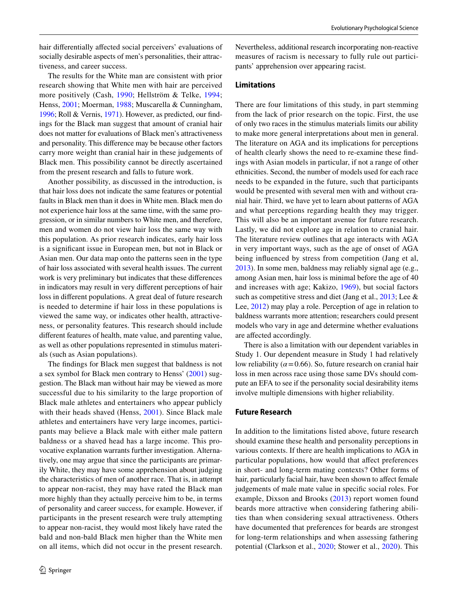hair diferentially afected social perceivers' evaluations of socially desirable aspects of men's personalities, their attractiveness, and career success.

The results for the White man are consistent with prior research showing that White men with hair are perceived more positively (Cash, [1990](#page-10-12); Hellström & Telke, [1994](#page-10-13); Henss, [2001](#page-10-8); Moerman, [1988](#page-11-5); Muscarella & Cunningham, [1996;](#page-11-6) Roll & Vernis, [1971](#page-11-7)). However, as predicted, our fndings for the Black man suggest that amount of cranial hair does not matter for evaluations of Black men's attractiveness and personality. This diference may be because other factors carry more weight than cranial hair in these judgements of Black men. This possibility cannot be directly ascertained from the present research and falls to future work.

Another possibility, as discussed in the introduction, is that hair loss does not indicate the same features or potential faults in Black men than it does in White men. Black men do not experience hair loss at the same time, with the same progression, or in similar numbers to White men, and therefore, men and women do not view hair loss the same way with this population. As prior research indicates, early hair loss is a signifcant issue in European men, but not in Black or Asian men. Our data map onto the patterns seen in the type of hair loss associated with several health issues. The current work is very preliminary but indicates that these diferences in indicators may result in very diferent perceptions of hair loss in diferent populations. A great deal of future research is needed to determine if hair loss in these populations is viewed the same way, or indicates other health, attractiveness, or personality features. This research should include diferent features of health, mate value, and parenting value, as well as other populations represented in stimulus materials (such as Asian populations).

The fndings for Black men suggest that baldness is not a sex symbol for Black men contrary to Henss' ([2001\)](#page-10-8) suggestion. The Black man without hair may be viewed as more successful due to his similarity to the large proportion of Black male athletes and entertainers who appear publicly with their heads shaved (Henss, [2001](#page-10-8)). Since Black male athletes and entertainers have very large incomes, participants may believe a Black male with either male pattern baldness or a shaved head has a large income. This provocative explanation warrants further investigation. Alternatively, one may argue that since the participants are primarily White, they may have some apprehension about judging the characteristics of men of another race. That is, in attempt to appear non-racist, they may have rated the Black man more highly than they actually perceive him to be, in terms of personality and career success, for example. However, if participants in the present research were truly attempting to appear non-racist, they would most likely have rated the bald and non-bald Black men higher than the White men on all items, which did not occur in the present research.

Nevertheless, additional research incorporating non-reactive measures of racism is necessary to fully rule out participants' apprehension over appearing racist.

#### **Limitations**

There are four limitations of this study, in part stemming from the lack of prior research on the topic. First, the use of only two races in the stimulus materials limits our ability to make more general interpretations about men in general. The literature on AGA and its implications for perceptions of health clearly shows the need to re-examine these fndings with Asian models in particular, if not a range of other ethnicities. Second, the number of models used for each race needs to be expanded in the future, such that participants would be presented with several men with and without cranial hair. Third, we have yet to learn about patterns of AGA and what perceptions regarding health they may trigger. This will also be an important avenue for future research. Lastly, we did not explore age in relation to cranial hair. The literature review outlines that age interacts with AGA in very important ways, such as the age of onset of AGA being infuenced by stress from competition (Jang et al, [2013](#page-10-20)). In some men, baldness may reliably signal age (e.g., among Asian men, hair loss is minimal before the age of 40 and increases with age; Kakizo, [1969](#page-10-24)), but social factors such as competitive stress and diet (Jang et al., [2013;](#page-10-20) Lee & Lee, [2012\)](#page-11-2) may play a role. Perception of age in relation to baldness warrants more attention; researchers could present models who vary in age and determine whether evaluations are afected accordingly.

There is also a limitation with our dependent variables in Study 1. Our dependent measure in Study 1 had relatively low reliability ( $\alpha$  = 0.66). So, future research on cranial hair loss in men across race using those same DVs should compute an EFA to see if the personality social desirability items involve multiple dimensions with higher reliability*.*

#### **Future Research**

In addition to the limitations listed above, future research should examine these health and personality perceptions in various contexts. If there are health implications to AGA in particular populations, how would that afect preferences in short- and long-term mating contexts? Other forms of hair, particularly facial hair, have been shown to affect female judgements of male mate value in specifc social roles. For example, Dixson and Brooks ([2013\)](#page-10-32) report women found beards more attractive when considering fathering abilities than when considering sexual attractiveness. Others have documented that preferences for beards are strongest for long-term relationships and when assessing fathering potential (Clarkson et al., [2020](#page-10-33); Stower et al., [2020](#page-11-31)). This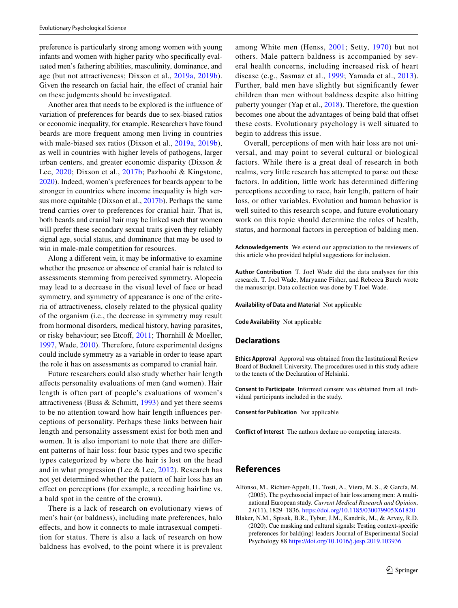preference is particularly strong among women with young infants and women with higher parity who specifcally evaluated men's fathering abilities, masculinity, dominance, and age (but not attractiveness; Dixson et al., [2019a,](#page-10-34) [2019b](#page-10-35)). Given the research on facial hair, the efect of cranial hair on these judgments should be investigated.

Another area that needs to be explored is the infuence of variation of preferences for beards due to sex-biased ratios or economic inequality, for example. Researchers have found beards are more frequent among men living in countries with male-biased sex ratios (Dixson et al., [2019a](#page-10-34), [2019b](#page-10-35)), as well in countries with higher levels of pathogens, larger urban centers, and greater economic disparity (Dixson & Lee, [2020](#page-10-36); Dixson et al., [2017b](#page-10-2); Pazhoohi & Kingstone, [2020](#page-11-32)). Indeed, women's preferences for beards appear to be stronger in countries where income inequality is high versus more equitable (Dixson et al., [2017b\)](#page-10-2). Perhaps the same trend carries over to preferences for cranial hair. That is, both beards and cranial hair may be linked such that women will prefer these secondary sexual traits given they reliably signal age, social status, and dominance that may be used to win in male-male competition for resources.

Along a diferent vein, it may be informative to examine whether the presence or absence of cranial hair is related to assessments stemming from perceived symmetry. Alopecia may lead to a decrease in the visual level of face or head symmetry, and symmetry of appearance is one of the criteria of attractiveness, closely related to the physical quality of the organism (i.e., the decrease in symmetry may result from hormonal disorders, medical history, having parasites, or risky behaviour; see Etcoff, [2011](#page-10-37); Thornhill & Moeller, [1997](#page-11-33), Wade, [2010](#page-11-34)). Therefore, future experimental designs could include symmetry as a variable in order to tease apart the role it has on assessments as compared to cranial hair.

Future researchers could also study whether hair length afects personality evaluations of men (and women). Hair length is often part of people's evaluations of women's attractiveness (Buss  $& Schmitt, 1993$  $& Schmitt, 1993$ ) and yet there seems to be no attention toward how hair length infuences perceptions of personality. Perhaps these links between hair length and personality assessment exist for both men and women. It is also important to note that there are diferent patterns of hair loss: four basic types and two specifc types categorized by where the hair is lost on the head and in what progression (Lee  $&$  Lee, [2012](#page-11-2)). Research has not yet determined whether the pattern of hair loss has an efect on perceptions (for example, a receding hairline vs. a bald spot in the centre of the crown).

There is a lack of research on evolutionary views of men's hair (or baldness), including mate preferences, halo efects, and how it connects to male intrasexual competition for status. There is also a lack of research on how baldness has evolved, to the point where it is prevalent among White men (Henss, [2001](#page-10-8); Setty, [1970\)](#page-11-15) but not others. Male pattern baldness is accompanied by several health concerns, including increased risk of heart disease (e.g., Sasmaz et al., [1999](#page-11-35); Yamada et al., [2013](#page-12-5)). Further, bald men have slightly but signifcantly fewer children than men without baldness despite also hitting puberty younger (Yap et al., [2018](#page-12-1)). Therefore, the question becomes one about the advantages of being bald that offset these costs. Evolutionary psychology is well situated to begin to address this issue.

Overall, perceptions of men with hair loss are not universal, and may point to several cultural or biological factors. While there is a great deal of research in both realms, very little research has attempted to parse out these factors. In addition, little work has determined difering perceptions according to race, hair length, pattern of hair loss, or other variables. Evolution and human behavior is well suited to this research scope, and future evolutionary work on this topic should determine the roles of health, status, and hormonal factors in perception of balding men.

**Acknowledgements** We extend our appreciation to the reviewers of this article who provided helpful suggestions for inclusion.

**Author Contribution** T. Joel Wade did the data analyses for this research. T. Joel Wade, Maryanne Fisher, and Rebecca Burch wrote the manuscript. Data collection was done by T Joel Wade.

**Availability of Data and Material** Not applicable

**Code Availability** Not applicable

#### **Declarations**

**Ethics Approval** Approval was obtained from the Institutional Review Board of Bucknell University. The procedures used in this study adhere to the tenets of the Declaration of Helsinki.

**Consent to Participate** Informed consent was obtained from all individual participants included in the study.

**Consent for Publication** Not applicable

**Conflict of Interest** The authors declare no competing interests.

## **References**

- <span id="page-9-1"></span>Alfonso, M., Richter-Appelt, H., Tosti, A., Viera, M. S., & García, M. (2005). The psychosocial impact of hair loss among men: A multinational European study. *Current Medical Research and Opinion, 21*(11), 1829–1836.<https://doi.org/10.1185/030079905X61820>
- <span id="page-9-0"></span>Blaker, N.M., Spisak, B.R., Tybur, J.M., Kandrik, M., & Arvey, R.D. (2020). Cue masking and cultural signals: Testing context-specifc preferences for bald(ing) leaders Journal of Experimental Social Psychology 88 <https://doi.org/10.1016/j.jesp.2019.103936>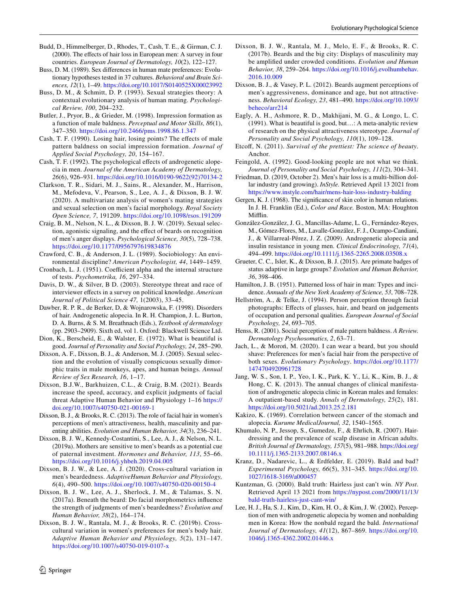- <span id="page-10-10"></span>Budd, D., Himmelberger, D., Rhodes, T., Cash, T. E., & Girman, C. J. (2000). The efects of hair loss in European men: A survey in four countries. *European Journal of Dermatology, 10*(2), 122–127.
- <span id="page-10-16"></span>Buss, D. M. (1989). Sex diferences in human mate preferences: Evolutionary hypotheses tested in 37 cultures. *Behavioral and Brain Sciences, 12*(1), 1–49. <https://doi.org/10.1017/S0140525X00023992>
- <span id="page-10-38"></span>Buss, D. M., & Schmitt, D. P. (1993). Sexual strategies theory: A contextual evolutionary analysis of human mating. *Psychological Review, 100*, 204–232.
- <span id="page-10-15"></span>Butler, J., Pryor, B., & Grieder, M. (1998). Impression formation as a function of male baldness. *Perceptual and Motor Skills, 86*(1), 347–350.<https://doi.org/10.2466/pms.1998.86.1.347>
- <span id="page-10-12"></span>Cash, T. F. (1990). Losing hair, losing points? The efects of male pattern baldness on social impression formation. *Journal of Applied Social Psychology, 20*, 154–167.
- <span id="page-10-11"></span>Cash, T. F. (1992). The psychological efects of androgenetic alopecia in men. *Journal of the American Academy of Dermatology, 26*(6), 926–931. [https://doi.org/10.1016/0190-9622\(92\)70134-2](https://doi.org/10.1016/0190-9622(92)70134-2)
- <span id="page-10-33"></span>Clarkson, T. R., Sidari, M. J., Sains, R., Alexander, M., Harrison, M., Mefodeva, V., Pearson, S., Lee, A. J., & Dixson, B. J. W. (2020). A multivariate analysis of women's mating strategies and sexual selection on men's facial morphology. *Royal Society Open Science, 7*, 191209. <https://doi.org/10.1098/rsos.191209>
- <span id="page-10-0"></span>Craig, B. M., Nelson, N. L., & Dixson, B. J. W. (2019). Sexual selection, agonistic signaling, and the efect of beards on recognition of men's anger displays. *Psychological Science, 30*(5), 728–738. <https://doi.org/10.1177/0956797619834876>
- <span id="page-10-25"></span>Crawford, C. B., & Anderson, J. L. (1989). Sociobiology: An environmental discipline? *American Psychologist, 44*, 1449–1459.
- <span id="page-10-29"></span>Cronbach, L. J. (1951). Coefficient alpha and the internal structure of tests. *Psychometrika, 16*, 297–334.
- <span id="page-10-27"></span>Davis, D. W., & Silver, B D. (2003). Stereotype threat and race of interviewer efects in a survey on political knowledge. *American Journal of Political Science 47,* 1(2003), 33–45.
- <span id="page-10-19"></span>Dawber, R. P. R., de Berker, D, & Wojnarowska, F. (1998). Disorders of hair. Androgenetic alopecia. In R. H. Champion, J. L. Burton, D. A. Burns, & S. M. Breathnach (Eds.), *Textbook of dermatology* (pp. 2903–2909). Sixth ed, vol 1. Oxford: Blackwell Science Ltd.
- <span id="page-10-26"></span>Dion, K., Berscheid, E., & Walster, E. (1972). What is beautiful is good. *Journal of Personality and Social Psychology, 24*, 285–290.
- <span id="page-10-4"></span>Dixson, A. F., Dixson, B. J., & Anderson, M. J. (2005). Sexual selection and the evolution of visually conspicuous sexually dimorphic traits in male monkeys, apes, and human beings. *Annual Review of Sex Research, 16*, 1–17.
- <span id="page-10-6"></span>Dixson, B.J.W., Barkhuizen, C.L., & Craig, B.M. (2021). Beards increase the speed, accuracy, and explicit judgments of facial threat Adaptive Human Behavior and Physiology 1–16 [https://](https://doi.org/10.1007/s40750-021-00169-1) [doi.org/10.1007/s40750-021-00169-1](https://doi.org/10.1007/s40750-021-00169-1)
- <span id="page-10-32"></span>Dixson, B. J., & Brooks, R. C. (2013). The role of facial hair in women's perceptions of men's attractiveness, health, masculinity and parenting abilities. *Evolution and Human Behavior, 34*(3), 236–241.
- <span id="page-10-34"></span>Dixson, B. J. W., Kennedy-Costantini, S., Lee, A. J., & Nelson, N. L. (2019a). Mothers are sensitive to men's beards as a potential cue of paternal investment. *Hormones and Behavior, 113*, 55–66. <https://doi.org/10.1016/j.yhbeh.2019.04.005>
- <span id="page-10-36"></span>Dixson, B. J. W., & Lee, A. J. (2020). Cross-cultural variation in men's beardedness. *AdaptiveHuman Behavior and Physiology, 6*(4), 490–500. <https://doi.org/10.1007/s40750-020-00150-4>
- <span id="page-10-1"></span>Dixson, B. J. W., Lee, A. J., Sherlock, J. M., & Talamas, S. N. (2017a). Beneath the beard: Do facial morphometrics infuence the strength of judgments of men's beardedness? *Evolution and Human Behavior, 38*(2), 164–174.
- <span id="page-10-35"></span>Dixson, B. J. W., Rantala, M. J., & Brooks, R. C. (2019b). Crosscultural variation in women's preferences for men's body hair. *Adaptive Human Behavior and Physiology, 5*(2), 131–147. <https://doi.org/10.1007/s40750-019-0107-x>
- <span id="page-10-7"></span><span id="page-10-2"></span>Dixson, B. J., & Vasey, P. L. (2012). Beards augment perceptions of men's aggressiveness, dominance and age, but not attractiveness. *Behavioral Ecology, 23*, 481–490. [https://doi.org/10.1093/](https://doi.org/10.1093/beheco/arr214) [beheco/arr214](https://doi.org/10.1093/beheco/arr214)
- <span id="page-10-28"></span>Eagly, A. H., Ashmore, R. D., Makhijani, M. G., & Longo, L. C. (1991). What is beautiful is good, but…: A meta-analytic review of research on the physical attractiveness stereotype. *Journal of Personality and Social Psychology, 110*(1), 109–128.
- <span id="page-10-37"></span>Etcof, N. (2011). *Survival of the prettiest: The science of beauty*. Anchor.
- <span id="page-10-31"></span>Feingold, A. (1992). Good-looking people are not what we think. *Journal of Personality and Social Psychology, 111*(2), 304–341.
- <span id="page-10-9"></span>Friedman, D. (2019, October 2). Men's hair loss is a multi-billion dollar industry (and growing). *InStyle.* Retrieved April 13 2021 from <https://www.instyle.com/hair/mens-hair-loss-industry-balding>
- <span id="page-10-30"></span>Gergen, K. J. (1968). The signifcance of skin color in human relations. In J. H. Franklin (Ed.), *Color and Race.* Boston, MA: Houghton Mifflin.
- <span id="page-10-21"></span>González-González, J. G., Mancillas-Adame, L. G., Fernández-Reyes, M., Gómez-Flores, M., Lavalle-González, F. J., Ocampo-Candiani, J., & Villarreal-Pérez, J. Z. (2009). Androgenetic alopecia and insulin resistance in young men. *Clinical Endocrinology, 71*(4), 494–499.<https://doi.org/10.1111/j.1365-2265.2008.03508.x>
- <span id="page-10-5"></span>Grueter, C. C., Isler, K., & Dixson, B. J. (2015). Are primate badges of status adaptive in large groups? *Evolution and Human Behavior, 36*, 398–406.
- <span id="page-10-22"></span>Hamilton, J. B. (1951). Patterned loss of hair in man: Types and incidence. *Annuals of the New York Academy of Science, 53*, 708–728.
- <span id="page-10-13"></span>Hellström, A., & Telke, J. (1994). Person perception through facial photographs: Efects of glasses, hair, and beard on judgements of occupation and personal qualities. *European Journal of Social Psychology, 24*, 693–705.
- <span id="page-10-8"></span>Henss, R. (2001). Social perception of male pattern baldness. *A Review. Dermatology Psychosomatics, 2*, 63–71.
- <span id="page-10-3"></span>Jach, L., & Moroń, M. (2020). I can wear a beard, but you should shave: Preferences for men's facial hair from the perspective of both sexes. *Evolutionary Psychology*. [https://doi.org/10.1177/](https://doi.org/10.1177/1474704920961728) [1474704920961728](https://doi.org/10.1177/1474704920961728)
- <span id="page-10-20"></span>Jang, W. S., Son, I. P., Yeo, I. K., Park, K. Y., Li, K., Kim, B. J., & Hong, C. K. (2013). The annual changes of clinical manifestation of androgenetic alopecia clinic in Korean males and females: A outpatient-based study. *Annals of Dermatology, 25*(2), 181. <https://doi.org/10.5021/ad.2013.25.2.181>
- <span id="page-10-24"></span>Kakizo, K. (1969). Correlation between cancer of the stomach and alopecia. *Kurume MedicalJournal, 32*, 1540–1565.
- <span id="page-10-23"></span>Khumalo, N. P., Jessop, S., Gumedze, F., & Ehrlich, R. (2007). Hairdressing and the prevalence of scalp disease in African adults. *British Journal of Dermatology, 157*(5), 981–988. [https://doi.org/](https://doi.org/10.1111/j.1365-2133.2007.08146.x) [10.1111/j.1365-2133.2007.08146.x](https://doi.org/10.1111/j.1365-2133.2007.08146.x)
- <span id="page-10-18"></span>Kranz, D., Nadarevic, L., & Erdfelder, E. (2019). Bald and bad? *Experimental Psychology, 66*(5), 331–345. [https://doi.org/10.](https://doi.org/10.1027/1618-3169/a000457) [1027/1618-3169/a000457](https://doi.org/10.1027/1618-3169/a000457)
- <span id="page-10-17"></span>Kuntzman, G. (2000). Bald truth: Hairless just can't win. *NY Post*. Retrieved April 13 2021 from [https://nypost.com/2000/11/13/](https://nypost.com/2000/11/13/bald-truth-hairless-just-cant-win/) [bald-truth-hairless-just-cant-win/](https://nypost.com/2000/11/13/bald-truth-hairless-just-cant-win/)
- <span id="page-10-14"></span>Lee, H. J., Ha, S. J., Kim, D., Kim, H. O., & Kim, J. W. (2002). Perception of men with androgenetic alopecia by women and nonbalding men in Korea: How the nonbald regard the bald. *International Journal of Dermatology, 41*(12), 867–869. [https://doi.org/10.](https://doi.org/10.1046/j.1365-4362.2002.01446.x) [1046/j.1365-4362.2002.01446.x](https://doi.org/10.1046/j.1365-4362.2002.01446.x)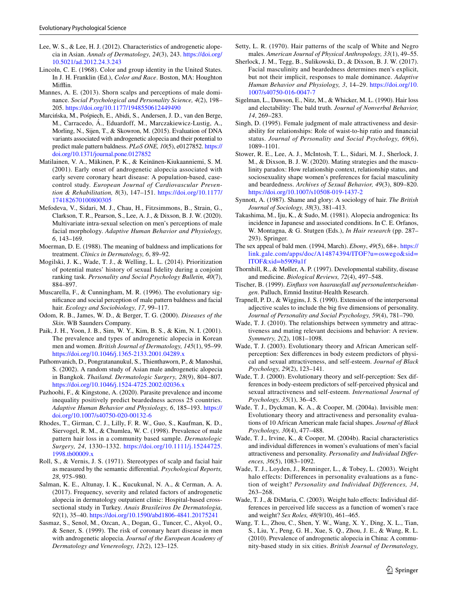- <span id="page-11-2"></span>Lee, W. S., & Lee, H. J. (2012). Characteristics of androgenetic alopecia in Asian. *Annals of Dermatology, 24*(3), 243. [https://doi.org/](https://doi.org/10.5021/ad.2012.24.3.243) [10.5021/ad.2012.24.3.243](https://doi.org/10.5021/ad.2012.24.3.243)
- <span id="page-11-27"></span>Lincoln, C. E. (1968). Color and group identity in the United States. In J. H. Franklin (Ed.), *Color and Race*. Boston, MA: Houghton Mifflin.
- <span id="page-11-4"></span>Mannes, A. E. (2013). Shorn scalps and perceptions of male dominance. *Social Psychological and Personality Science, 4*(2), 198– 205.<https://doi.org/10.1177/1948550612449490>
- <span id="page-11-22"></span>Marcińska, M., Pośpiech, E., Abidi, S., Andersen, J. D., van den Berge, M., Carracedo, Á., Eduardoff, M., Marczakiewicz-Lustig, A., Morling, N., Sijen, T., & Skowron, M. (2015). Evaluation of DNA variants associated with androgenetic alopecia and their potential to predict male pattern baldness. *PLoS ONE, 10*(5), e0127852. [https://](https://doi.org/10.1371/journal.pone.0127852) [doi.org/10.1371/journal.pone.0127852](https://doi.org/10.1371/journal.pone.0127852)
- <span id="page-11-13"></span>Matilainen, V. A., Mäkinen, P. K., & Keinänen-Kiukaanniemi, S. M. (2001). Early onset of androgenetic alopecia associated with early severe coronary heart disease: A population-based, casecontrol study. *European Journal of Cardiovascular Prevention & Rehabilitation, 8*(3), 147–151. [https://doi.org/10.1177/](https://doi.org/10.1177/174182670100800305) [174182670100800305](https://doi.org/10.1177/174182670100800305)
- <span id="page-11-0"></span>Mefodeva, V., Sidari, M. J., Chau, H., Fitzsimmons, B., Strain, G., Clarkson, T. R., Pearson, S., Lee, A. J., & Dixson, B. J. W. (2020). Multivariate intra-sexual selection on men's perceptions of male facial morphology. *Adaptive Human Behavior and Physiology, 6*, 143–169.
- <span id="page-11-5"></span>Moerman, D. E. (1988). The meaning of baldness and implications for treatment. *Clinics in Dermatology, 6*, 89–92.
- <span id="page-11-23"></span>Mogilski, J. K., Wade, T. J., & Welling, L. L. (2014). Prioritization of potential mates' history of sexual fdelity during a conjoint ranking task. *Personality and Social Psychology Bulletin, 40*(7), 884–897.
- <span id="page-11-6"></span>Muscarella, F., & Cunningham, M. R. (1996). The evolutionary signifcance and social perception of male pattern baldness and facial hair. *Ecology and Sociobiology, 17*, 99–117.
- <span id="page-11-14"></span>Odom, R. B., James, W. D., & Berger, T. G. (2000). *Diseases of the Skin*. WB Saunders Company.
- <span id="page-11-16"></span>Paik, J. H., Yoon, J. B., Sim, W. Y., Kim, B. S., & Kim, N. I. (2001). The prevalence and types of androgenetic alopecia in Korean men and women. *British Journal of Dermatology, 145*(1), 95–99. <https://doi.org/10.1046/j.1365-2133.2001.04289.x>
- <span id="page-11-19"></span>Pathomvanich, D., Pongratananukul, S., Thienthaworn, P., & Manoshai, S. (2002). A random study of Asian male androgenetic alopecia in Bangkok. *Thailand. Dermatologic Surgery, 28*(9), 804–807. <https://doi.org/10.1046/j.1524-4725.2002.02036.x>
- <span id="page-11-32"></span>Pazhoohi, F., & Kingstone, A. (2020). Parasite prevalence and income inequality positively predict beardedness across 25 countries. *Adaptive Human Behavior and Physiology, 6*, 185–193. [https://](https://doi.org/10.1007/s40750-020-00132-6) [doi.org/10.1007/s40750-020-00132-6](https://doi.org/10.1007/s40750-020-00132-6)
- <span id="page-11-21"></span>Rhodes, T., Girman, C. J., Lilly, F. R. W., Guo, S., Kaufman, K. D., Siervogel, R. M., & Chumlea, W. C. (1998). Prevalence of male pattern hair loss in a community based sample. *Dermatologic Surgery, 24*, 1330–1332. [https://doi.org/10.1111/j.15244725.](https://doi.org/10.1111/j.15244725.1998.tb00009.x) [1998.tb00009.x](https://doi.org/10.1111/j.15244725.1998.tb00009.x)
- <span id="page-11-7"></span>Roll, S., & Vernis, J. S. (1971). Stereotypes of scalp and facial hair as measured by the semantic diferential. *Psychological Reports, 28*, 975–980.
- <span id="page-11-18"></span>Salman, K. E., Altunay, I. K., Kucukunal, N. A., & Cerman, A. A. (2017). Frequency, severity and related factors of androgenetic alopecia in dermatology outpatient clinic: Hospital-based crosssectional study in Turkey. *Anais Brasileiros De Dermatologia, 92*(1), 35–40. <https://doi.org/10.1590/abd1806-4841.20175241>
- <span id="page-11-35"></span>Sasmaz, S., Senol, M., Ozcan, A., Dogan, G., Tuncer, C., Akyol, O., & Sener, S. (1999). The risk of coronary heart disease in men with androgenetic alopecia. *Journal of the European Academy of Dermatology and Venereology, 12*(2), 123–125.
- <span id="page-11-15"></span>Setty, L. R. (1970). Hair patterns of the scalp of White and Negro males. *American Journal of Physical Anthropology, 33*(1), 49–55.
- <span id="page-11-1"></span>Sherlock, J. M., Tegg, B., Sulikowski, D., & Dixson, B. J. W. (2017). Facial masculinity and beardedness determines men's explicit, but not their implicit, responses to male dominance. *Adaptive Human Behavior and Physiology, 3*, 14–29. [https://doi.org/10.](https://doi.org/10.1007/s40750-016-0047-7) [1007/s40750-016-0047-7](https://doi.org/10.1007/s40750-016-0047-7)
- <span id="page-11-8"></span>Sigelman, L., Dawson, E., Nitz, M., & Whicker, M. L. (1990). Hair loss and electability: The bald truth. *Journal of Nonverbal Behavior, 14*, 269–283.
- <span id="page-11-10"></span>Singh, D. (1995). Female judgment of male attractiveness and desirability for relationships: Role of waist-to-hip ratio and fnancial status. *Journal of Personality and Social Psychology, 69*(6), 1089–1101.
- <span id="page-11-31"></span>Stower, R. E., Lee, A. J., McIntosh, T. L., Sidari, M. J., Sherlock, J. M., & Dixson, B. J. W. (2020). Mating strategies and the masculinity paradox: How relationship context, relationship status, and sociosexuality shape women's preferences for facial masculinity and beardedness. *Archives of Sexual Behavior, 49*(3), 809–820. <https://doi.org/10.1007/s10508-019-1437-2>
- <span id="page-11-3"></span>Synnott, A. (1987). Shame and glory: A sociology of hair. *The British Journal of Sociology, 38*(3), 381–413.
- <span id="page-11-20"></span>Takashima, M., Iju, K., & Sudo, M. (1981). Alopecia androgenica: Its incidence in Japanese and associated conditions. In C. E. Orfanos, W. Montagna, & G. Stutgen (Eds.), *In Hair research* (pp. 287– 293). Springer.
- <span id="page-11-24"></span>The sex appeal of bald men. (1994, March). *Ebony*, *49*(5), 68+. [https://](https://link.gale.com/apps/doc/A14874394/ITOF?u=oswego&sid=ITOF&xid=b5909a1f) [link.gale.com/apps/doc/A14874394/ITOF?u=oswego&sid=](https://link.gale.com/apps/doc/A14874394/ITOF?u=oswego&sid=ITOF&xid=b5909a1f) [ITOF&xid=b5909a1f](https://link.gale.com/apps/doc/A14874394/ITOF?u=oswego&sid=ITOF&xid=b5909a1f)
- <span id="page-11-33"></span>Thornhill, R., & Møller, A. P. (1997). Developmental stability, disease and medicine. *Biological Reviews, 72*(4), 497–548.
- <span id="page-11-9"></span>Tischer, B. (1999). *Einfuss von haarausfall auf personalentscheidungen*. Palluch, Emnid Institut-Health Research.
- <span id="page-11-30"></span>Trapnell, P. D., & Wiggins, J. S. (1990). Extension of the interpersonal adjective scales to include the big fve dimensions of personality. *Journal of Personality and Social Psychology, 59*(4), 781–790.
- <span id="page-11-34"></span>Wade, T. J. (2010). The relationships between symmetry and attractiveness and mating relevant decisions and behavior: A review. *Symmetry, 2*(2), 1081–1098.
- <span id="page-11-12"></span>Wade, T. J. (2003). Evolutionary theory and African American selfperception: Sex diferences in body esteem predictors of physical and sexual attractiveness, and self-esteem. *Journal of Black Psychology, 29*(2), 123–141.
- <span id="page-11-11"></span>Wade, T. J. (2000). Evolutionary theory and self-perception: Sex differences in body-esteem predictors of self-perceived physical and sexual attractiveness and self-esteem. *International Journal of Psychology, 35*(1), 36–45.
- <span id="page-11-28"></span>Wade, T. J., Dyckman, K. A., & Cooper, M. (2004a). Invisible men: Evolutionary theory and attractiveness and personality evaluations of 10 African American male facial shapes. *Journal of Black Psychology, 30*(4), 477–488.
- <span id="page-11-29"></span>Wade, T. J., Irvine, K., & Cooper, M. (2004b). Racial characteristics and individual diferences in women's evaluations of men's facial attractiveness and personality. *Personality and Individual Diferences, 36*(5), 1083–1092.
- <span id="page-11-26"></span>Wade, T. J., Loyden, J., Renninger, L., & Tobey, L. (2003). Weight halo effects: Differences in personality evaluations as a function of weight? *Personality and Individual Differences, 34*, 263–268.
- <span id="page-11-25"></span>Wade, T. J., & DiMaria, C. (2003). Weight halo effects: Individual differences in perceived life success as a function of women's race and weight? *Sex Roles, 48*(9/10), 461–465.
- <span id="page-11-17"></span>Wang, T. L., Zhou, C., Shen, Y. W., Wang, X. Y., Ding, X. L., Tian, S., Liu, Y., Peng, G. H., Xue, S. Q., Zhou, J. E., & Wang, R. L. (2010). Prevalence of androgenetic alopecia in China: A community-based study in six cities. *British Journal of Dermatology,*